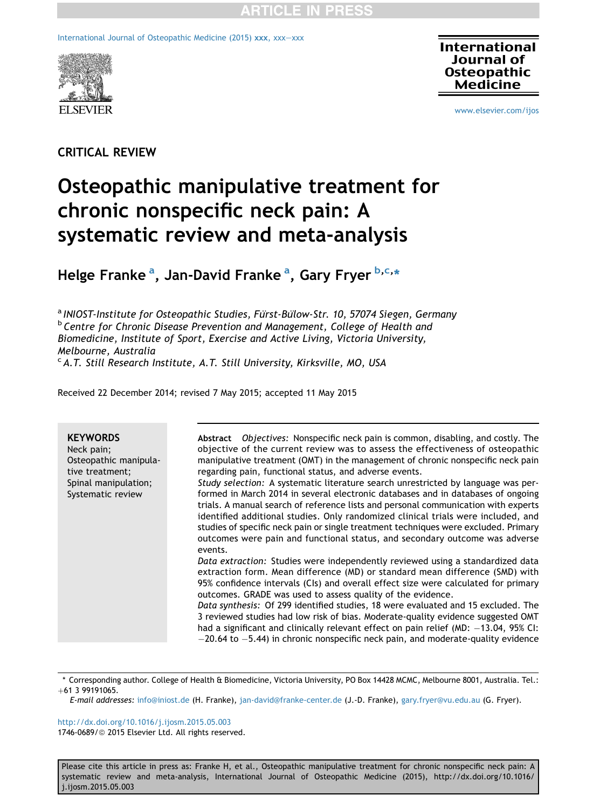[International Journal of Osteopathic Medicine \(2015\)](http://dx.doi.org/10.1016/j.ijosm.2015.05.003) [xxx](http://dx.doi.org/10.1016/j.ijosm.2015.05.003), xxx-xxx



**International Journal of Osteopathic Medicine** 

[www.elsevier.com/ijos](http://www.elsevier.com/ijos)

## CRITICAL REVIEW

# Osteopathic manipulative treatment for chronic nonspecific neck pain: A systematic review and meta-analysis

Helge Franke <sup>a</sup>, Jan-David Franke <sup>a</sup>, Gary Fryer <sup>b,c,</sup>\*

<sup>a</sup> INIOST-Institute for Osteopathic Studies, Fürst-Bülow-Str. 10, 57074 Siegen, Germany **b** Centre for Chronic Disease Prevention and Management, College of Health and Biomedicine, Institute of Sport, Exercise and Active Living, Victoria University, Melbourne, Australia

<sup>c</sup> A.T. Still Research Institute, A.T. Still University, Kirksville, MO, USA

Received 22 December 2014; revised 7 May 2015; accepted 11 May 2015

| <b>KEYWORDS</b><br>Neck pain;<br>Osteopathic manipula-<br>tive treatment;<br>Spinal manipulation;<br>Systematic review | Abstract Objectives: Nonspecific neck pain is common, disabling, and costly. The<br>objective of the current review was to assess the effectiveness of osteopathic<br>manipulative treatment (OMT) in the management of chronic nonspecific neck pain<br>regarding pain, functional status, and adverse events.<br>Study selection: A systematic literature search unrestricted by language was per-<br>formed in March 2014 in several electronic databases and in databases of ongoing<br>trials. A manual search of reference lists and personal communication with experts<br>identified additional studies. Only randomized clinical trials were included, and<br>studies of specific neck pain or single treatment techniques were excluded. Primary<br>outcomes were pain and functional status, and secondary outcome was adverse<br>events.<br>Data extraction: Studies were independently reviewed using a standardized data<br>extraction form. Mean difference (MD) or standard mean difference (SMD) with<br>95% confidence intervals (CIs) and overall effect size were calculated for primary<br>outcomes. GRADE was used to assess quality of the evidence.<br>Data synthesis: Of 299 identified studies, 18 were evaluated and 15 excluded. The<br>3 reviewed studies had low risk of bias. Moderate-quality evidence suggested OMT<br>had a significant and clinically relevant effect on pain relief (MD: -13.04, 95% CI: |
|------------------------------------------------------------------------------------------------------------------------|----------------------------------------------------------------------------------------------------------------------------------------------------------------------------------------------------------------------------------------------------------------------------------------------------------------------------------------------------------------------------------------------------------------------------------------------------------------------------------------------------------------------------------------------------------------------------------------------------------------------------------------------------------------------------------------------------------------------------------------------------------------------------------------------------------------------------------------------------------------------------------------------------------------------------------------------------------------------------------------------------------------------------------------------------------------------------------------------------------------------------------------------------------------------------------------------------------------------------------------------------------------------------------------------------------------------------------------------------------------------------------------------------------------------------------------------|
|                                                                                                                        | $-20.64$ to $-5.44$ ) in chronic nonspecific neck pain, and moderate-quality evidence                                                                                                                                                                                                                                                                                                                                                                                                                                                                                                                                                                                                                                                                                                                                                                                                                                                                                                                                                                                                                                                                                                                                                                                                                                                                                                                                                        |

\* Corresponding author. College of Health & Biomedicine, Victoria University, PO Box 14428 MCMC, Melbourne 8001, Australia. Tel.:  $+61$  3 99191065.

E-mail addresses: [info@iniost.de](mailto:info@iniost.de) (H. Franke), [jan-david@franke-center.de](mailto:jan-david@franke-center.de) (J.-D. Franke), [gary.fryer@vu.edu.au](mailto:gary.fryer@vu.edu.au) (G. Fryer).

<http://dx.doi.org/10.1016/j.ijosm.2015.05.003> 1746-0689/@ 2015 Elsevier Ltd. All rights reserved.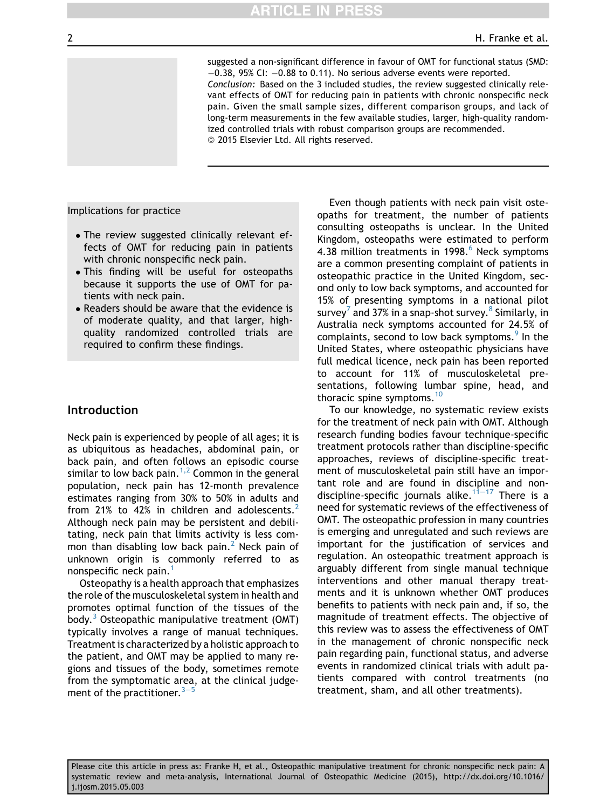suggested a non-significant difference in favour of OMT for functional status (SMD:  $-0.38$ , 95% CI:  $-0.88$  to 0.11). No serious adverse events were reported. Conclusion: Based on the 3 included studies, the review suggested clinically relevant effects of OMT for reducing pain in patients with chronic nonspecific neck pain. Given the small sample sizes, different comparison groups, and lack of long-term measurements in the few available studies, larger, high-quality randomized controlled trials with robust comparison groups are recommended. © 2015 Elsevier Ltd. All rights reserved.

Implications for practice

- The review suggested clinically relevant effects of OMT for reducing pain in patients with chronic nonspecific neck pain.
- This finding will be useful for osteopaths because it supports the use of OMT for patients with neck pain.
- Readers should be aware that the evidence is of moderate quality, and that larger, highquality randomized controlled trials are required to confirm these findings.

## Introduction

Neck pain is experienced by people of all ages; it is as ubiquitous as headaches, abdominal pain, or back pain, and often follows an episodic course similar to low back pain.<sup>[1,2](#page-11-0)</sup> Common in the general population, neck pain has 12-month prevalence estimates ranging from 30% to 50% in adults and from [2](#page-11-0)1% to 42% in children and adolescents.<sup>2</sup> Although neck pain may be persistent and debilitating, neck pain that limits activity is less common than disabling low back pain. Neck pain of unknown origin is commonly referred to as nonspecific neck pain.<sup>[1](#page-11-0)</sup>

Osteopathy is a health approach that emphasizes the role of the musculoskeletal system in health and promotes optimal function of the tissues of the body.<sup>[3](#page-11-0)</sup> Osteopathic manipulative treatment (OMT) typically involves a range of manual techniques. Treatment is characterized by a holistic approach to the patient, and OMT may be applied to many regions and tissues of the body, sometimes remote from the symptomatic area, at the clinical judgement of the practitioner.  $3-5$  $3-5$  $3-5$ 

Even though patients with neck pain visit osteopaths for treatment, the number of patients consulting osteopaths is unclear. In the United Kingdom, osteopaths were estimated to perform 4.38 million treatments in 1998.<sup>[6](#page-11-0)</sup> Neck symptoms are a common presenting complaint of patients in osteopathic practice in the United Kingdom, second only to low back symptoms, and accounted for 15% of presenting symptoms in a national pilot survey<sup>[7](#page-11-0)</sup> and 37% in a snap-shot survey.<sup>[8](#page-11-0)</sup> Similarly, in Australia neck symptoms accounted for 24.5% of complaints, second to low back symptoms.<sup>[9](#page-11-0)</sup> In the United States, where osteopathic physicians have full medical licence, neck pain has been reported to account for 11% of musculoskeletal presentations, following lumbar spine, head, and thoracic spine symptoms.<sup>[10](#page-11-0)</sup>

To our knowledge, no systematic review exists for the treatment of neck pain with OMT. Although research funding bodies favour technique-specific treatment protocols rather than discipline-specific approaches, reviews of discipline-specific treatment of musculoskeletal pain still have an important role and are found in discipline and non-discipline-specific journals alike.<sup>[11](#page-11-0)–[17](#page-11-0)</sup> There is a need for systematic reviews of the effectiveness of OMT. The osteopathic profession in many countries is emerging and unregulated and such reviews are important for the justification of services and regulation. An osteopathic treatment approach is arguably different from single manual technique interventions and other manual therapy treatments and it is unknown whether OMT produces benefits to patients with neck pain and, if so, the magnitude of treatment effects. The objective of this review was to assess the effectiveness of OMT in the management of chronic nonspecific neck pain regarding pain, functional status, and adverse events in randomized clinical trials with adult patients compared with control treatments (no treatment, sham, and all other treatments).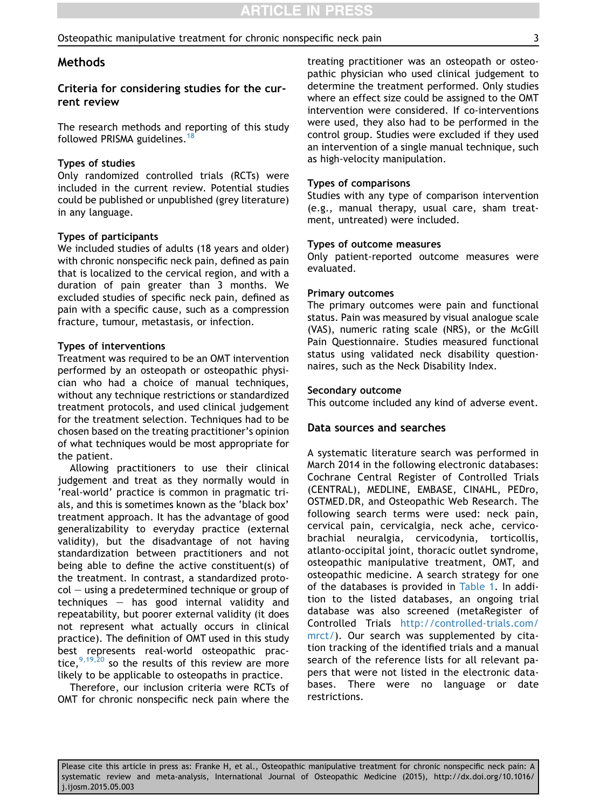## Methods

## Criteria for considering studies for the current review

The research methods and reporting of this study followed PRISMA guidelines.<sup>[18](#page-11-0)</sup>

#### Types of studies

Only randomized controlled trials (RCTs) were included in the current review. Potential studies could be published or unpublished (grey literature) in any language.

#### Types of participants

We included studies of adults (18 years and older) with chronic nonspecific neck pain, defined as pain that is localized to the cervical region, and with a duration of pain greater than 3 months. We excluded studies of specific neck pain, defined as pain with a specific cause, such as a compression fracture, tumour, metastasis, or infection.

#### Types of interventions

Treatment was required to be an OMT intervention performed by an osteopath or osteopathic physician who had a choice of manual techniques, without any technique restrictions or standardized treatment protocols, and used clinical judgement for the treatment selection. Techniques had to be chosen based on the treating practitioner's opinion of what techniques would be most appropriate for the patient.

Allowing practitioners to use their clinical judgement and treat as they normally would in 'real-world' practice is common in pragmatic trials, and this is sometimes known as the 'black box' treatment approach. It has the advantage of good generalizability to everyday practice (external validity), but the disadvantage of not having standardization between practitioners and not being able to define the active constituent(s) of the treatment. In contrast, a standardized proto $col - using a predetermined technique or group of$ techniques  $-$  has good internal validity and repeatability, but poorer external validity (it does not represent what actually occurs in clinical practice). The definition of OMT used in this study best represents real-world osteopathic practice,  $9,19,20$  so the results of this review are more likely to be applicable to osteopaths in practice.

Therefore, our inclusion criteria were RCTs of OMT for chronic nonspecific neck pain where the treating practitioner was an osteopath or osteopathic physician who used clinical judgement to determine the treatment performed. Only studies where an effect size could be assigned to the OMT intervention were considered. If co-interventions were used, they also had to be performed in the control group. Studies were excluded if they used an intervention of a single manual technique, such as high-velocity manipulation.

## Types of comparisons

Studies with any type of comparison intervention (e.g., manual therapy, usual care, sham treatment, untreated) were included.

#### Types of outcome measures

Only patient-reported outcome measures were evaluated.

#### Primary outcomes

The primary outcomes were pain and functional status. Pain was measured by visual analogue scale (VAS), numeric rating scale (NRS), or the McGill Pain Questionnaire. Studies measured functional status using validated neck disability questionnaires, such as the Neck Disability Index.

#### Secondary outcome

This outcome included any kind of adverse event.

#### Data sources and searches

A systematic literature search was performed in March 2014 in the following electronic databases: Cochrane Central Register of Controlled Trials (CENTRAL), MEDLINE, EMBASE, CINAHL, PEDro, OSTMED.DR, and Osteopathic Web Research. The following search terms were used: neck pain, cervical pain, cervicalgia, neck ache, cervicobrachial neuralgia, cervicodynia, torticollis, atlanto-occipital joint, thoracic outlet syndrome, osteopathic manipulative treatment, OMT, and osteopathic medicine. A search strategy for one of the databases is provided in [Table 1](#page-3-0). In addition to the listed databases, an ongoing trial database was also screened (metaRegister of Controlled Trials [http://controlled-trials.com/](http://controlled-trials.com/mrct/) [mrct/\)](http://controlled-trials.com/mrct/). Our search was supplemented by citation tracking of the identified trials and a manual search of the reference lists for all relevant papers that were not listed in the electronic databases. There were no language or date restrictions.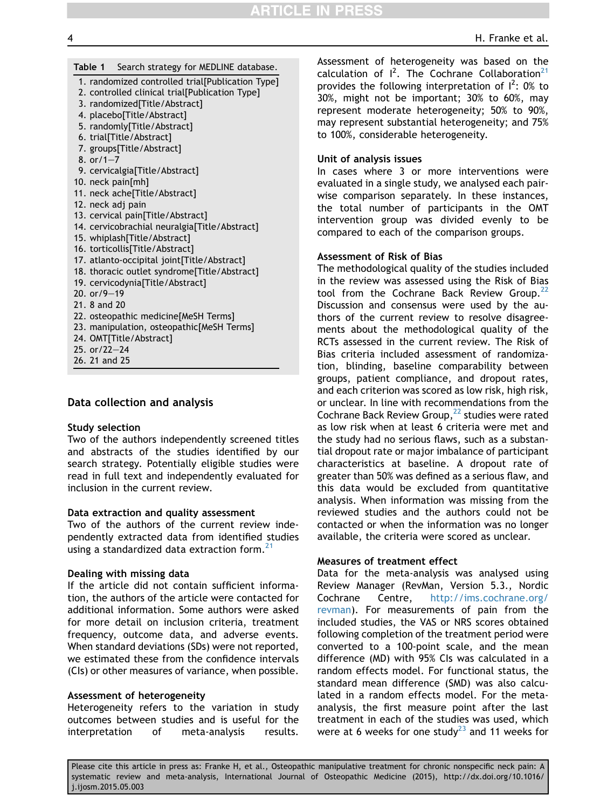## <span id="page-3-0"></span>Table 1 Search strategy for MEDLINE database.

- 1. randomized controlled trial[Publication Type]
- 2. controlled clinical trial[Publication Type]
- 3. randomized[Title/Abstract]
- 4. placebo[Title/Abstract]
- 5. randomly[Title/Abstract]
- 6. trial[Title/Abstract]
- 7. groups[Title/Abstract]
- 8. or $/1 7$
- 9. cervicalgia[Title/Abstract]
- 10. neck pain[mh]
- 11. neck ache[Title/Abstract]
- 12. neck adj pain
- 13. cervical pain[Title/Abstract]
- 14. cervicobrachial neuralgia[Title/Abstract]
- 15. whiplash[Title/Abstract]
- 16. torticollis[Title/Abstract]
- 17. atlanto-occipital joint[Title/Abstract]
- 18. thoracic outlet syndrome[Title/Abstract]
- 19. cervicodynia[Title/Abstract]
- 20.  $or/9-19$
- 21. 8 and 20
- 22. osteopathic medicine[MeSH Terms]
- 23. manipulation, osteopathic[MeSH Terms]
- 24. OMT[Title/Abstract]
- 25. or/22 $-24$
- 26. 21 and 25

## Data collection and analysis

#### Study selection

Two of the authors independently screened titles and abstracts of the studies identified by our search strategy. Potentially eligible studies were read in full text and independently evaluated for inclusion in the current review.

#### Data extraction and quality assessment

Two of the authors of the current review independently extracted data from identified studies using a standardized data extraction form.<sup>[21](#page-11-0)</sup>

#### Dealing with missing data

If the article did not contain sufficient information, the authors of the article were contacted for additional information. Some authors were asked for more detail on inclusion criteria, treatment frequency, outcome data, and adverse events. When standard deviations (SDs) were not reported, we estimated these from the confidence intervals (CIs) or other measures of variance, when possible.

#### Assessment of heterogeneity

Heterogeneity refers to the variation in study outcomes between studies and is useful for the interpretation of meta-analysis results.

Assessment of heterogeneity was based on the calculation of  $I^2$ . The Cochrane Collaboration<sup>[21](#page-11-0)</sup> provides the following interpretation of  $I^2$ : 0% to 30%, might not be important; 30% to 60%, may represent moderate heterogeneity; 50% to 90%, may represent substantial heterogeneity; and 75% to 100%, considerable heterogeneity.

## Unit of analysis issues

In cases where 3 or more interventions were evaluated in a single study, we analysed each pairwise comparison separately. In these instances, the total number of participants in the OMT intervention group was divided evenly to be compared to each of the comparison groups.

## Assessment of Risk of Bias

The methodological quality of the studies included in the review was assessed using the Risk of Bias tool from the Cochrane Back Review Group.<sup>[22](#page-11-0)</sup> Discussion and consensus were used by the authors of the current review to resolve disagreements about the methodological quality of the RCTs assessed in the current review. The Risk of Bias criteria included assessment of randomization, blinding, baseline comparability between groups, patient compliance, and dropout rates, and each criterion was scored as low risk, high risk, or unclear. In line with recommendations from the Cochrane Back Review Group, $^{22}$  $^{22}$  $^{22}$  studies were rated as low risk when at least 6 criteria were met and the study had no serious flaws, such as a substantial dropout rate or major imbalance of participant characteristics at baseline. A dropout rate of greater than 50% was defined as a serious flaw, and this data would be excluded from quantitative analysis. When information was missing from the reviewed studies and the authors could not be contacted or when the information was no longer available, the criteria were scored as unclear.

## Measures of treatment effect

Data for the meta-analysis was analysed using Review Manager (RevMan, Version 5.3., Nordic Cochrane Centre, [http://ims.cochrane.org/](http://ims.cochrane.org/revman) [revman\)](http://ims.cochrane.org/revman). For measurements of pain from the included studies, the VAS or NRS scores obtained following completion of the treatment period were converted to a 100-point scale, and the mean difference (MD) with 95% CIs was calculated in a random effects model. For functional status, the standard mean difference (SMD) was also calculated in a random effects model. For the metaanalysis, the first measure point after the last treatment in each of the studies was used, which were at 6 weeks for one study $^{23}$  $^{23}$  $^{23}$  and 11 weeks for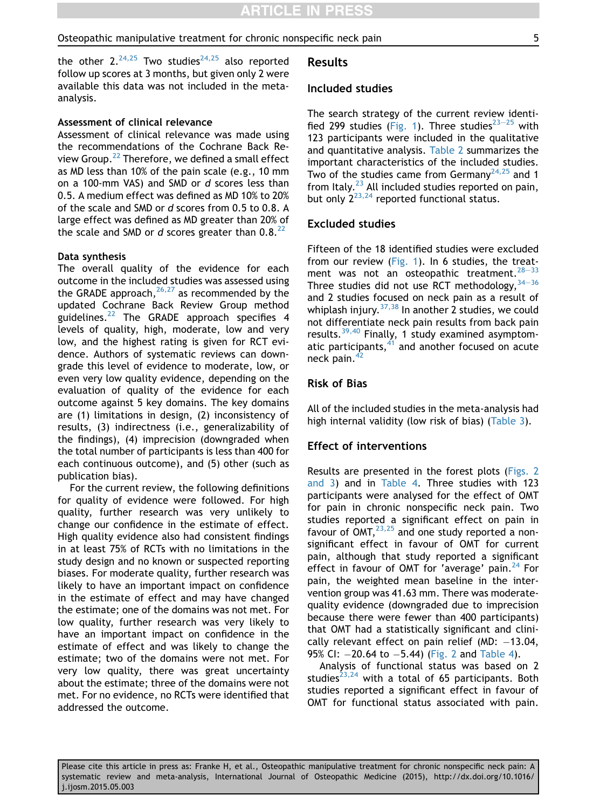the other  $2.^{24,25}$  $2.^{24,25}$  $2.^{24,25}$  Two studies<sup>24,25</sup> also reported follow up scores at 3 months, but given only 2 were available this data was not included in the metaanalysis.

#### Assessment of clinical relevance

Assessment of clinical relevance was made using the recommendations of the Cochrane Back Re-view Group.<sup>[22](#page-11-0)</sup> Therefore, we defined a small effect as MD less than 10% of the pain scale (e.g., 10 mm on a 100-mm VAS) and SMD or d scores less than 0.5. A medium effect was defined as MD 10% to 20% of the scale and SMD or d scores from 0.5 to 0.8. A large effect was defined as MD greater than 20% of the scale and SMD or d scores greater than  $0.8^{22}$  $0.8^{22}$  $0.8^{22}$ 

#### Data synthesis

The overall quality of the evidence for each outcome in the included studies was assessed using the GRADE approach,  $26,27$  as recommended by the updated Cochrane Back Review Group method guidelines. $^{22}$  $^{22}$  $^{22}$  The GRADE approach specifies 4 levels of quality, high, moderate, low and very low, and the highest rating is given for RCT evidence. Authors of systematic reviews can downgrade this level of evidence to moderate, low, or even very low quality evidence, depending on the evaluation of quality of the evidence for each outcome against 5 key domains. The key domains are (1) limitations in design, (2) inconsistency of results, (3) indirectness (i.e., generalizability of the findings), (4) imprecision (downgraded when the total number of participants is less than 400 for each continuous outcome), and (5) other (such as publication bias).

For the current review, the following definitions for quality of evidence were followed. For high quality, further research was very unlikely to change our confidence in the estimate of effect. High quality evidence also had consistent findings in at least 75% of RCTs with no limitations in the study design and no known or suspected reporting biases. For moderate quality, further research was likely to have an important impact on confidence in the estimate of effect and may have changed the estimate; one of the domains was not met. For low quality, further research was very likely to have an important impact on confidence in the estimate of effect and was likely to change the estimate; two of the domains were not met. For very low quality, there was great uncertainty about the estimate; three of the domains were not met. For no evidence, no RCTs were identified that addressed the outcome.

## Results

#### Included studies

The search strategy of the current review identi-fied 299 studies [\(Fig. 1](#page-5-0)). Three studies $23-25$  $23-25$  $23-25$  with 123 participants were included in the qualitative and quantitative analysis. [Table 2](#page-6-0) summarizes the important characteristics of the included studies. Two of the studies came from Germany<sup>[24,25](#page-11-0)</sup> and 1 from Italy. $^{23}$  $^{23}$  $^{23}$  All included studies reported on pain, but only  $2^{23,24}$  $2^{23,24}$  $2^{23,24}$  reported functional status.

## Excluded studies

Fifteen of the 18 identified studies were excluded from our review [\(Fig. 1\)](#page-5-0). In 6 studies, the treatment was not an osteopathic treatment.  $28-33$  $28-33$  $28-33$ Three studies did not use RCT methodology,  $34-36$  $34-36$  $34-36$ and 2 studies focused on neck pain as a result of whiplash injury.  $37,38$  In another 2 studies, we could not differentiate neck pain results from back pain results.[39,40](#page-12-0) Finally, 1 study examined asymptomatic participants, $41$  and another focused on acute neck pain. $42$ 

## Risk of Bias

All of the included studies in the meta-analysis had high internal validity (low risk of bias) ([Table 3](#page-7-0)).

#### Effect of interventions

Results are presented in the forest plots ([Figs. 2](#page-8-0) [and 3](#page-8-0)) and in [Table 4.](#page-9-0) Three studies with 123 participants were analysed for the effect of OMT for pain in chronic nonspecific neck pain. Two studies reported a significant effect on pain in favour of  $OMT$ ,  $^{23,25}$  $^{23,25}$  $^{23,25}$  and one study reported a nonsignificant effect in favour of OMT for current pain, although that study reported a significant effect in favour of OMT for 'average' pain. $^{24}$  $^{24}$  $^{24}$  For pain, the weighted mean baseline in the intervention group was 41.63 mm. There was moderatequality evidence (downgraded due to imprecision because there were fewer than 400 participants) that OMT had a statistically significant and clinically relevant effect on pain relief (MD:  $-13.04$ , 95% CI:  $-20.64$  to  $-5.44$ ) ([Fig. 2](#page-8-0) and [Table 4](#page-9-0)).

Analysis of functional status was based on 2 studies<sup>[23,24](#page-11-0)</sup> with a total of 65 participants. Both studies reported a significant effect in favour of OMT for functional status associated with pain.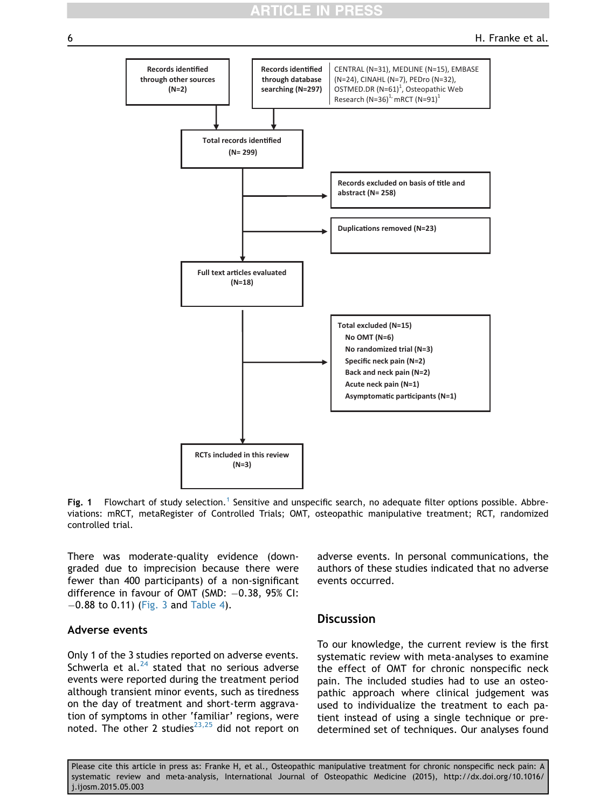# **TICLE IN PRES**

<span id="page-5-0"></span>

Fig. [1](#page-11-0) Flowchart of study selection.<sup>1</sup> Sensitive and unspecific search, no adequate filter options possible. Abbreviations: mRCT, metaRegister of Controlled Trials; OMT, osteopathic manipulative treatment; RCT, randomized controlled trial.

There was moderate-quality evidence (downgraded due to imprecision because there were fewer than 400 participants) of a non-significant difference in favour of OMT (SMD:  $-0.38$ , 95% CI:  $-0.88$  to 0.11) [\(Fig. 3](#page-10-0) and [Table 4\)](#page-9-0).

## Adverse events

Only 1 of the 3 studies reported on adverse events. Schwerla et al. $^{24}$  $^{24}$  $^{24}$  stated that no serious adverse events were reported during the treatment period although transient minor events, such as tiredness on the day of treatment and short-term aggravation of symptoms in other 'familiar' regions, were noted. The other 2 studies $^{23,25}$  $^{23,25}$  $^{23,25}$  did not report on adverse events. In personal communications, the authors of these studies indicated that no adverse events occurred.

## **Discussion**

To our knowledge, the current review is the first systematic review with meta-analyses to examine the effect of OMT for chronic nonspecific neck pain. The included studies had to use an osteopathic approach where clinical judgement was used to individualize the treatment to each patient instead of using a single technique or predetermined set of techniques. Our analyses found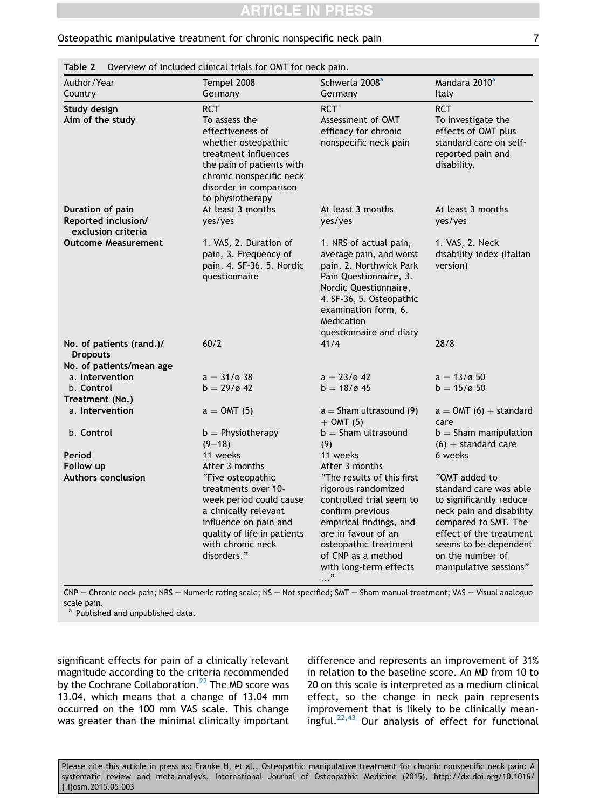<span id="page-6-0"></span>

| Author/Year<br>Country                      | Tempel 2008<br>Germany                                                                                                                                                                   | Schwerla 2008 <sup>a</sup><br>Germany                                                                                                                                                                                                      | Mandara 2010 <sup>a</sup><br>Italy                                                                                                                                                                                       |
|---------------------------------------------|------------------------------------------------------------------------------------------------------------------------------------------------------------------------------------------|--------------------------------------------------------------------------------------------------------------------------------------------------------------------------------------------------------------------------------------------|--------------------------------------------------------------------------------------------------------------------------------------------------------------------------------------------------------------------------|
| Study design                                | <b>RCT</b>                                                                                                                                                                               | <b>RCT</b>                                                                                                                                                                                                                                 | RCT                                                                                                                                                                                                                      |
| Aim of the study                            | To assess the<br>effectiveness of<br>whether osteopathic<br>treatment influences<br>the pain of patients with<br>chronic nonspecific neck<br>disorder in comparison<br>to physiotherapy  | Assessment of OMT<br>efficacy for chronic<br>nonspecific neck pain                                                                                                                                                                         | To investigate the<br>effects of OMT plus<br>standard care on self-<br>reported pain and<br>disability.                                                                                                                  |
| Duration of pain                            | At least 3 months                                                                                                                                                                        | At least 3 months                                                                                                                                                                                                                          | At least 3 months                                                                                                                                                                                                        |
| Reported inclusion/<br>exclusion criteria   | yes/yes                                                                                                                                                                                  | yes/yes                                                                                                                                                                                                                                    | yes/yes                                                                                                                                                                                                                  |
| <b>Outcome Measurement</b>                  | 1. VAS, 2. Duration of<br>pain, 3. Frequency of<br>pain, 4. SF-36, 5. Nordic<br>questionnaire                                                                                            | 1. NRS of actual pain,<br>average pain, and worst<br>pain, 2. Northwick Park<br>Pain Questionnaire, 3.<br>Nordic Questionnaire,<br>4. SF-36, 5. Osteopathic<br>examination form, 6.<br>Medication<br>questionnaire and diary               | 1. VAS, 2. Neck<br>disability index (Italian<br>version)                                                                                                                                                                 |
| No. of patients (rand.)/<br><b>Dropouts</b> | 60/2                                                                                                                                                                                     | 41/4                                                                                                                                                                                                                                       | 28/8                                                                                                                                                                                                                     |
| No. of patients/mean age                    |                                                                                                                                                                                          |                                                                                                                                                                                                                                            |                                                                                                                                                                                                                          |
| a. Intervention                             | $a = 31/g 38$                                                                                                                                                                            | $a = 23/642$                                                                                                                                                                                                                               | $a = 13/650$                                                                                                                                                                                                             |
| b. Control                                  | $b = 29/0.42$                                                                                                                                                                            | $b = 18/645$                                                                                                                                                                                                                               | $b = 15/a 50$                                                                                                                                                                                                            |
| Treatment (No.)                             |                                                                                                                                                                                          |                                                                                                                                                                                                                                            |                                                                                                                                                                                                                          |
| a. Intervention                             | $a =$ OMT (5)                                                                                                                                                                            | $a =$ Sham ultrasound (9)<br>$+$ OMT (5)                                                                                                                                                                                                   | $a = 0MT(6) + standard$<br>care                                                                                                                                                                                          |
| b. Control                                  | $b =$ Physiotherapy                                                                                                                                                                      | $b =$ Sham ultrasound                                                                                                                                                                                                                      | $b =$ Sham manipulation                                                                                                                                                                                                  |
|                                             | $(9 - 18)$                                                                                                                                                                               | (9)                                                                                                                                                                                                                                        | $(6) +$ standard care                                                                                                                                                                                                    |
| Period                                      | 11 weeks                                                                                                                                                                                 | 11 weeks                                                                                                                                                                                                                                   | 6 weeks                                                                                                                                                                                                                  |
| Follow up                                   | After 3 months                                                                                                                                                                           | After 3 months                                                                                                                                                                                                                             |                                                                                                                                                                                                                          |
| <b>Authors conclusion</b>                   | "Five osteopathic<br>treatments over 10-<br>week period could cause<br>a clinically relevant<br>influence on pain and<br>quality of life in patients<br>with chronic neck<br>disorders." | "The results of this first<br>rigorous randomized<br>controlled trial seem to<br>confirm previous<br>empirical findings, and<br>are in favour of an<br>osteopathic treatment<br>of CNP as a method<br>with long-term effects<br>$\cdots$ " | "OMT added to<br>standard care was able<br>to significantly reduce<br>neck pain and disability<br>compared to SMT. The<br>effect of the treatment<br>seems to be dependent<br>on the number of<br>manipulative sessions" |

 $CNP =$  Chronic neck pain; NRS = Numeric rating scale; NS = Not specified; SMT = Sham manual treatment; VAS = Visual analogue scale pain.

a Published and unpublished data.

significant effects for pain of a clinically relevant magnitude according to the criteria recommended by the Cochrane Collaboration.<sup>[22](#page-11-0)</sup> The MD score was 13.04, which means that a change of 13.04 mm occurred on the 100 mm VAS scale. This change was greater than the minimal clinically important

difference and represents an improvement of 31% in relation to the baseline score. An MD from 10 to 20 on this scale is interpreted as a medium clinical effect, so the change in neck pain represents improvement that is likely to be clinically meaningful. $22,43$  Our analysis of effect for functional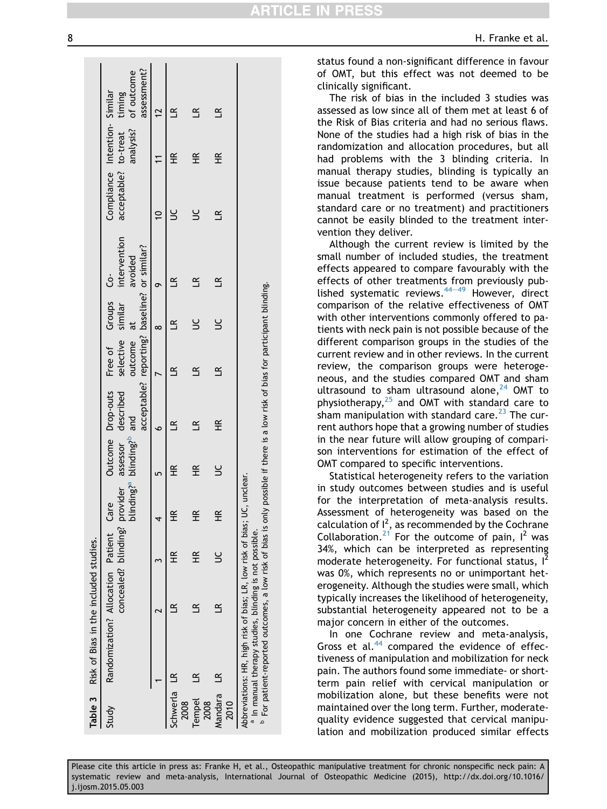|                       | Table 3 Risk of Bias in the included studies.                                                                                                                                                                  |                                        |                      |                   |                                                   |                                                                   |                   |                               |              |                                                      |   |                                         |
|-----------------------|----------------------------------------------------------------------------------------------------------------------------------------------------------------------------------------------------------------|----------------------------------------|----------------------|-------------------|---------------------------------------------------|-------------------------------------------------------------------|-------------------|-------------------------------|--------------|------------------------------------------------------|---|-----------------------------------------|
| Study                 | Randomization? Allocation Patient Care                                                                                                                                                                         | concealed? blinding? provider assessor |                      |                   |                                                   | Outcome Drop-outs Free of Groups Co-<br>described                 | selective similar |                               | intervention | Compliance Intention-Similar<br>acceptable? to-treat |   | to-treat timing<br>analysis? of outcome |
|                       |                                                                                                                                                                                                                |                                        |                      |                   | blinding? <sup>a</sup> blinding? <sup>b</sup> and | acceptable? reporting? baseline? or similar?                      | outcome at        |                               | avoided      |                                                      |   | assessment?                             |
|                       |                                                                                                                                                                                                                |                                        |                      |                   | 5                                                 | ە                                                                 |                   | ∞                             | σ            |                                                      |   | 12                                      |
| Schwerla LR<br>2008   |                                                                                                                                                                                                                |                                        | $\frac{\alpha}{1}$   | £                 | $\frac{\alpha}{\pm}$                              | $\mathbf{a}$                                                      | $\approx$         | $\mathbf{\underline{\alpha}}$ | $\leq$       |                                                      | 壬 | $\mathbf{a}$                            |
| <b>Tempel</b><br>2008 | $\mathbf{r}$                                                                                                                                                                                                   |                                        | $\frac{\alpha}{\pm}$ | $\widetilde{\Xi}$ | $\widetilde{\pm}$                                 | $\approx$                                                         |                   |                               |              |                                                      | 壬 |                                         |
| Mandara LR<br>2010    |                                                                                                                                                                                                                |                                        |                      | $\widetilde{\pm}$ |                                                   | ¥                                                                 | $\approx$         |                               |              | $\mathbf{R}$                                         | 또 | $\mathbf{\tilde{u}}$                    |
|                       | Abbreviations: HR, high risk of bias; LR, low risk of bias; UC,<br><sup>b</sup> For patient-reported outcomes, a low risk of bias is only<br><sup>a</sup> In manual therapy studies, blinding is not possible. |                                        |                      | unclear.          |                                                   | possible if there is a low risk of bias for participant blinding. |                   |                               |              |                                                      |   |                                         |

<span id="page-7-0"></span>8 according to the control of the control of the control of the control of the control of the control of the control of the control of the control of the control of the control of the control of the control of the control

status found a non-significant difference in favour of OMT, but this effect was not deemed to be clinically significant.

CLE IN

The risk of bias in the included 3 studies was assessed as low since all of them met at least 6 of the Risk of Bias criteria and had no serious flaws. None of the studies had a high risk of bias in the randomization and allocation procedures, but all had problems with the 3 blinding criteria. In manual therapy studies, blinding is typically an issue because patients tend to be aware when manual treatment is performed (versus sham, standard care or no treatment) and practitioners cannot be easily blinded to the treatment intervention they deliver.

Although the current review is limited by the small number of included studies, the treatment effects appeared to compare favourably with the effects of other treatments from previously published systematic reviews. $44-49$  $44-49$  $44-49$  However, direct comparison of the relative effectiveness of OMT with other interventions commonly offered to patients with neck pain is not possible because of the different comparison groups in the studies of the current review and in other reviews. In the current review, the comparison groups were heterogeneous, and the studies compared OMT and sham ultrasound to sham ultrasound alone, $^{24}$  $^{24}$  $^{24}$  OMT to physiotherapy, $25$  and OMT with standard care to sham manipulation with standard care.<sup>[23](#page-11-0)</sup> The current authors hope that a growing number of studies in the near future will allow grouping of comparison interventions for estimation of the effect of OMT compared to specific interventions.

Statistical heterogeneity refers to the variation in study outcomes between studies and is useful for the interpretation of meta-analysis results. Assessment of heterogeneity was based on the calculation of  $I^2$ , as recommended by the Cochrane Collaboration.<sup>[21](#page-11-0)</sup> For the outcome of pain,  $I^2$  was 34%, which can be interpreted as representing moderate heterogeneity. For functional status,  $I^2$ was 0%, which represents no or unimportant heterogeneity. Although the studies were small, which typically increases the likelihood of heterogeneity, substantial heterogeneity appeared not to be a major concern in either of the outcomes.

In one Cochrane review and meta-analysis, Gross et al. $44$  compared the evidence of effectiveness of manipulation and mobilization for neck pain. The authors found some immediate- or shortterm pain relief with cervical manipulation or mobilization alone, but these benefits were not maintained over the long term. Further, moderatequality evidence suggested that cervical manipulation and mobilization produced similar effects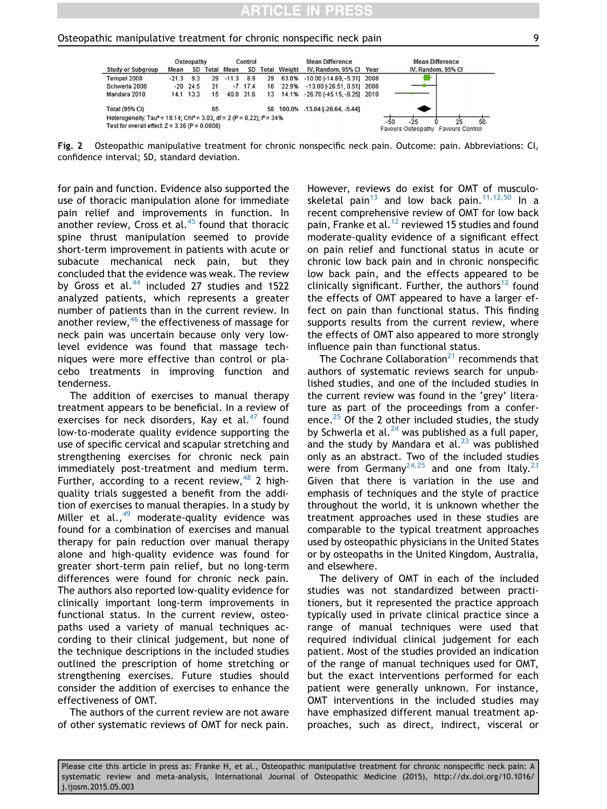<span id="page-8-0"></span>

Fig. 2 Osteopathic manipulative treatment for chronic nonspecific neck pain. Outcome: pain. Abbreviations: CI, confidence interval; SD, standard deviation.

for pain and function. Evidence also supported the use of thoracic manipulation alone for immediate pain relief and improvements in function. In another review, Cross et al. $45$  found that thoracic spine thrust manipulation seemed to provide short-term improvement in patients with acute or subacute mechanical neck pain, but they concluded that the evidence was weak. The review by Gross et al. $44$  included 27 studies and 1522 analyzed patients, which represents a greater number of patients than in the current review. In another review,<sup>[46](#page-12-0)</sup> the effectiveness of massage for neck pain was uncertain because only very lowlevel evidence was found that massage techniques were more effective than control or placebo treatments in improving function and tenderness.

The addition of exercises to manual therapy treatment appears to be beneficial. In a review of exercises for neck disorders, Kay et al. $47$  found low-to-moderate quality evidence supporting the use of specific cervical and scapular stretching and strengthening exercises for chronic neck pain immediately post-treatment and medium term. Further, according to a recent review,  $48$  2 highquality trials suggested a benefit from the addition of exercises to manual therapies. In a study by Miller et al.,  $49 \text{ moderate-quality evidence was}$  $49 \text{ moderate-quality evidence was}$ found for a combination of exercises and manual therapy for pain reduction over manual therapy alone and high-quality evidence was found for greater short-term pain relief, but no long-term differences were found for chronic neck pain. The authors also reported low-quality evidence for clinically important long-term improvements in functional status. In the current review, osteopaths used a variety of manual techniques according to their clinical judgement, but none of the technique descriptions in the included studies outlined the prescription of home stretching or strengthening exercises. Future studies should consider the addition of exercises to enhance the effectiveness of OMT.

The authors of the current review are not aware of other systematic reviews of OMT for neck pain.

However, reviews do exist for OMT of musculo-skeletal pain<sup>[13](#page-11-0)</sup> and low back pain.<sup>[11,12,50](#page-11-0)</sup> In a recent comprehensive review of OMT for low back pain, Franke et al.<sup>[12](#page-11-0)</sup> reviewed 15 studies and found moderate-quality evidence of a significant effect on pain relief and functional status in acute or chronic low back pain and in chronic nonspecific low back pain, and the effects appeared to be clinically significant. Further, the authors<sup>[12](#page-11-0)</sup> found the effects of OMT appeared to have a larger effect on pain than functional status. This finding supports results from the current review, where the effects of OMT also appeared to more strongly influence pain than functional status.

The Cochrane Collaboration<sup>[21](#page-11-0)</sup> recommends that authors of systematic reviews search for unpublished studies, and one of the included studies in the current review was found in the 'grey' literature as part of the proceedings from a conference. $25$  Of the 2 other included studies, the study by Schwerla et al. $^{24}$  $^{24}$  $^{24}$  was published as a full paper, and the study by Mandara et al. $^{23}$  $^{23}$  $^{23}$  was published only as an abstract. Two of the included studies were from Germany<sup>[24,25](#page-11-0)</sup> and one from Italy.<sup>[23](#page-11-0)</sup> Given that there is variation in the use and emphasis of techniques and the style of practice throughout the world, it is unknown whether the treatment approaches used in these studies are comparable to the typical treatment approaches used by osteopathic physicians in the United States or by osteopaths in the United Kingdom, Australia, and elsewhere.

The delivery of OMT in each of the included studies was not standardized between practitioners, but it represented the practice approach typically used in private clinical practice since a range of manual techniques were used that required individual clinical judgement for each patient. Most of the studies provided an indication of the range of manual techniques used for OMT, but the exact interventions performed for each patient were generally unknown. For instance, OMT interventions in the included studies may have emphasized different manual treatment approaches, such as direct, indirect, visceral or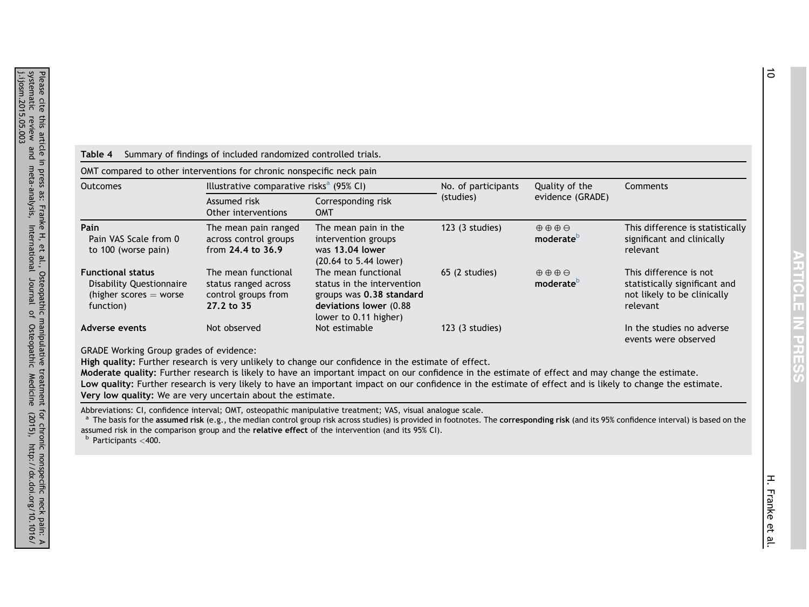## <span id="page-9-0"></span>Table 4 Summary of findings of included randomized controlled trials.

OMT compared to other interventions for chronic nonspecific neck pain

| Outcomes                                                                                      | Illustrative comparative risks <sup>a</sup> (95% CI)                             |                                                                                                                                  | No. of participants | Quality of the                                          | Comments                                                                                           |
|-----------------------------------------------------------------------------------------------|----------------------------------------------------------------------------------|----------------------------------------------------------------------------------------------------------------------------------|---------------------|---------------------------------------------------------|----------------------------------------------------------------------------------------------------|
|                                                                                               | Assumed risk<br>Other interventions                                              | Corresponding risk<br><b>OMT</b>                                                                                                 | (studies)           | evidence (GRADE)                                        |                                                                                                    |
| Pain<br>Pain VAS Scale from 0<br>to 100 (worse pain)                                          | The mean pain ranged<br>across control groups<br>from $24.4$ to $36.9$           | The mean pain in the<br>intervention groups<br>was 13.04 lower<br>(20.64 to 5.44 lower)                                          | $123$ (3 studies)   | $\oplus$ $\oplus$ $\oplus$<br>moderate <sup>b</sup>     | This difference is statistically<br>significant and clinically<br>relevant                         |
| <b>Functional status</b><br>Disability Questionnaire<br>(higher scores $=$ worse<br>function) | The mean functional<br>status ranged across<br>control groups from<br>27.2 to 35 | The mean functional<br>status in the intervention<br>groups was 0.38 standard<br>deviations lower (0.88<br>lower to 0.11 higher) | $65$ (2 studies)    | $\oplus \oplus \oplus \ominus$<br>moderate <sup>b</sup> | This difference is not<br>statistically significant and<br>not likely to be clinically<br>relevant |
| Adverse events                                                                                | Not observed                                                                     | Not estimable                                                                                                                    | $123$ (3 studies)   |                                                         | In the studies no adverse<br>events were observed                                                  |

GRADE Working Group grades of evidence:

High quality: Further research is very unlikely to change our confidence in the estimate of effect.

Moderate quality: Further research is likely to have an important impact on our confidence in the estimate of effect and may change the estimate. Low quality: Further research is very likely to have an important impact on our confidence in the estimate of effect and is likely to change the estimate. Very low quality: We are very uncertain about the estimate.

Abbreviations: CI, confidence interval; OMT, osteopathic manipulative treatment; VAS, visual analogue scale.

<sup>a</sup> The basis for the assumed risk (e.g., the median control group risk across studies) is provided in footnotes. The corresponding risk (and its 95% confidence interval) is based on the assumed risk in the comparison group and the relative effect of the intervention (and its 95% CI).

<sup>b</sup> Participants <400.

**ARESSS**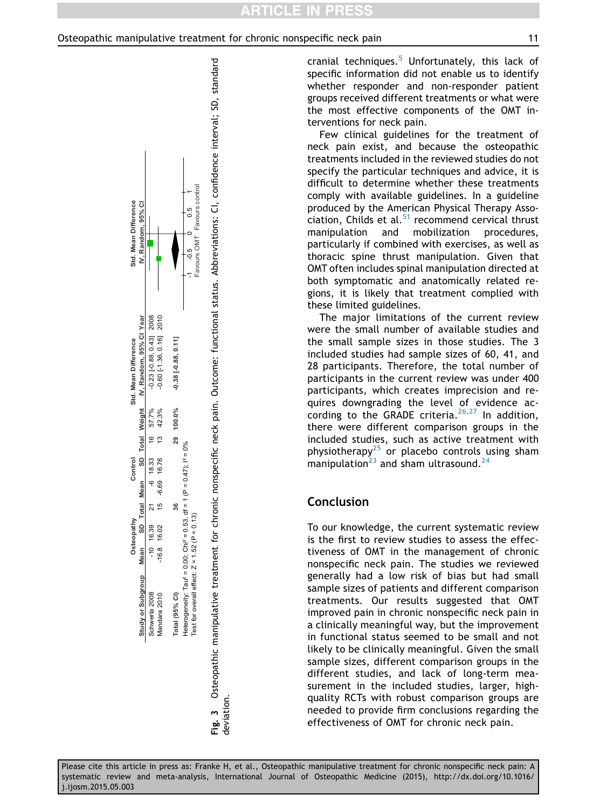<span id="page-10-0"></span>

cranial techniques.<sup>[5](#page-11-0)</sup> Unfortunately, this lack of specific information did not enable us to identify whether responder and non-responder patient groups received different treatments or what were the most effective components of the OMT interventions for neck pain.

Few clinical guidelines for the treatment of neck pain exist, and because the osteopathic treatments included in the reviewed studies do not specify the particular techniques and advice, it is difficult to determine whether these treatments comply with available guidelines. In a guideline produced by the American Physical Therapy Association, Childs et al. $51$  recommend cervical thrust manipulation and mobilization procedures, particularly if combined with exercises, as well as thoracic spine thrust manipulation. Given that OMT often includes spinal manipulation directed at both symptomatic and anatomically related regions, it is likely that treatment complied with these limited guidelines.

The major limitations of the current review were the small number of available studies and the small sample sizes in those studies. The 3 included studies had sample sizes of 60, 41, and 28 participants. Therefore, the total number of participants in the current review was under 400 participants, which creates imprecision and requires downgrading the level of evidence according to the GRADE criteria.  $26,27$  In addition, there were different comparison groups in the included studies, such as active treatment with physiotherapy<sup>[25](#page-11-0)</sup> or placebo controls using sham manipulation $^{23}$  $^{23}$  $^{23}$  and sham ultrasound.<sup>[24](#page-11-0)</sup>

## Conclusion

To our knowledge, the current systematic review is the first to review studies to assess the effectiveness of OMT in the management of chronic nonspecific neck pain. The studies we reviewed generally had a low risk of bias but had small sample sizes of patients and different comparison treatments. Our results suggested that OMT improved pain in chronic nonspecific neck pain in a clinically meaningful way, but the improvement in functional status seemed to be small and not likely to be clinically meaningful. Given the small sample sizes, different comparison groups in the different studies, and lack of long-term measurement in the included studies, larger, highquality RCTs with robust comparison groups are needed to provide firm conclusions regarding the effectiveness of OMT for chronic neck pain.

deviation.

deviation.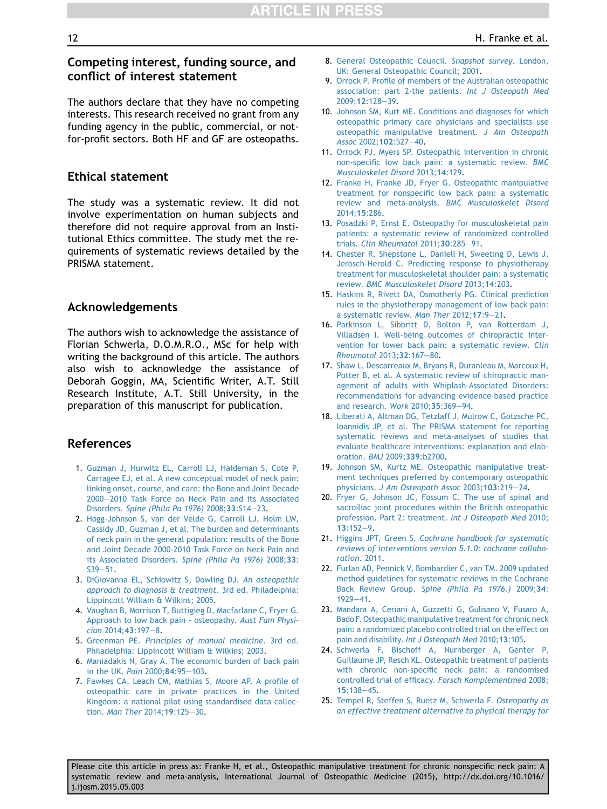## <span id="page-11-0"></span>Competing interest, funding source, and conflict of interest statement

The authors declare that they have no competing interests. This research received no grant from any funding agency in the public, commercial, or notfor-profit sectors. Both HF and GF are osteopaths.

## Ethical statement

The study was a systematic review. It did not involve experimentation on human subjects and therefore did not require approval from an Institutional Ethics committee. The study met the requirements of systematic reviews detailed by the PRISMA statement.

## Acknowledgements

The authors wish to acknowledge the assistance of Florian Schwerla, D.O.M.R.O., MSc for help with writing the background of this article. The authors also wish to acknowledge the assistance of Deborah Goggin, MA, Scientific Writer, A.T. Still Research Institute, A.T. Still University, in the preparation of this manuscript for publication.

## References

- 1. [Guzman J, Hurwitz EL, Carroll LJ, Haldeman S, Cote P,](http://refhub.elsevier.com/S1746-0689(15)00049-8/sref1) [Carragee EJ, et al. A new conceptual model of neck pain:](http://refhub.elsevier.com/S1746-0689(15)00049-8/sref1) [linking onset, course, and care: the Bone and Joint Decade](http://refhub.elsevier.com/S1746-0689(15)00049-8/sref1) [2000](http://refhub.elsevier.com/S1746-0689(15)00049-8/sref1)-[2010 Task Force on Neck Pain and its Associated](http://refhub.elsevier.com/S1746-0689(15)00049-8/sref1) Disorders. [Spine \(Phila Pa 1976\)](http://refhub.elsevier.com/S1746-0689(15)00049-8/sref1) 2008;33:S14-[23.](http://refhub.elsevier.com/S1746-0689(15)00049-8/sref1)
- 2. [Hogg-Johnson S, van der Velde G, Carroll LJ, Holm LW,](http://refhub.elsevier.com/S1746-0689(15)00049-8/sref2) [Cassidy JD, Guzman J, et al. The burden and determinants](http://refhub.elsevier.com/S1746-0689(15)00049-8/sref2) [of neck pain in the general population: results of the Bone](http://refhub.elsevier.com/S1746-0689(15)00049-8/sref2) [and Joint Decade 2000-2010 Task Force on Neck Pain and](http://refhub.elsevier.com/S1746-0689(15)00049-8/sref2) [its Associated Disorders.](http://refhub.elsevier.com/S1746-0689(15)00049-8/sref2) Spine (Phila Pa 1976) 2008;33:  $S39 - 51.$  $S39 - 51.$  $S39 - 51.$
- 3. [DiGiovanna EL, Schiowitz S, Dowling DJ.](http://refhub.elsevier.com/S1746-0689(15)00049-8/sref3) An osteopathic [approach to diagnosis & treatment](http://refhub.elsevier.com/S1746-0689(15)00049-8/sref3). 3rd ed. Philadelphia: [Lippincott William & Wilkins; 2005](http://refhub.elsevier.com/S1746-0689(15)00049-8/sref3).
- 4. [Vaughan B, Morrison T, Buttigieg D, Macfarlane C, Fryer G.](http://refhub.elsevier.com/S1746-0689(15)00049-8/sref4) [Approach to low back pain - osteopathy.](http://refhub.elsevier.com/S1746-0689(15)00049-8/sref4) Aust Fam Physi $cian$  [2014;](http://refhub.elsevier.com/S1746-0689(15)00049-8/sref4)43:197-[8.](http://refhub.elsevier.com/S1746-0689(15)00049-8/sref4)
- 5. Greenman PE. [Principles of manual medicine](http://refhub.elsevier.com/S1746-0689(15)00049-8/sref5). 3rd ed. [Philadelphia: Lippincott William & Wilkins; 2003.](http://refhub.elsevier.com/S1746-0689(15)00049-8/sref5)
- 6. [Maniadakis N, Gray A. The economic burden of back pain](http://refhub.elsevier.com/S1746-0689(15)00049-8/sref6) [in the UK.](http://refhub.elsevier.com/S1746-0689(15)00049-8/sref6) Pain 2000;84:95-[103.](http://refhub.elsevier.com/S1746-0689(15)00049-8/sref6)
- 7. [Fawkes CA, Leach CM, Mathias S, Moore AP. A profile of](http://refhub.elsevier.com/S1746-0689(15)00049-8/sref7) [osteopathic care in private practices in the United](http://refhub.elsevier.com/S1746-0689(15)00049-8/sref7) [Kingdom: a national pilot using standardised data collec-](http://refhub.elsevier.com/S1746-0689(15)00049-8/sref7)tion. [Man Ther](http://refhub.elsevier.com/S1746-0689(15)00049-8/sref7) 2014;19:125-[30.](http://refhub.elsevier.com/S1746-0689(15)00049-8/sref7)
- 8. [General Osteopathic Council.](http://refhub.elsevier.com/S1746-0689(15)00049-8/sref8) Snapshot survey. London, [UK: General Osteopathic Council; 2001](http://refhub.elsevier.com/S1746-0689(15)00049-8/sref8).
- 9. [Orrock P. Profile of members of the Australian osteopathic](http://refhub.elsevier.com/S1746-0689(15)00049-8/sref9) [association: part 2-the patients.](http://refhub.elsevier.com/S1746-0689(15)00049-8/sref9) Int J Osteopath Med [2009;](http://refhub.elsevier.com/S1746-0689(15)00049-8/sref9)12:128-[39.](http://refhub.elsevier.com/S1746-0689(15)00049-8/sref9)
- 10. [Johnson SM, Kurt ME. Conditions and diagnoses for which](http://refhub.elsevier.com/S1746-0689(15)00049-8/sref10) [osteopathic primary care physicians and specialists use](http://refhub.elsevier.com/S1746-0689(15)00049-8/sref10) [osteopathic manipulative treatment.](http://refhub.elsevier.com/S1746-0689(15)00049-8/sref10) J Am Osteopath Assoc [2002;](http://refhub.elsevier.com/S1746-0689(15)00049-8/sref10)102:527-[40](http://refhub.elsevier.com/S1746-0689(15)00049-8/sref10).
- 11. [Orrock PJ, Myers SP. Osteopathic intervention in chronic](http://refhub.elsevier.com/S1746-0689(15)00049-8/sref11) [non-specific low back pain: a systematic review.](http://refhub.elsevier.com/S1746-0689(15)00049-8/sref11) BMC [Musculoskelet Disord](http://refhub.elsevier.com/S1746-0689(15)00049-8/sref11) 2013;14:129.
- 12. [Franke H, Franke JD, Fryer G. Osteopathic manipulative](http://refhub.elsevier.com/S1746-0689(15)00049-8/sref12) [treatment for nonspecific low back pain: a systematic](http://refhub.elsevier.com/S1746-0689(15)00049-8/sref12) review and meta-analysis. [BMC Musculoskelet Disord](http://refhub.elsevier.com/S1746-0689(15)00049-8/sref12) [2014;](http://refhub.elsevier.com/S1746-0689(15)00049-8/sref12)15:286.
- 13. [Posadzki P, Ernst E. Osteopathy for musculoskeletal pain](http://refhub.elsevier.com/S1746-0689(15)00049-8/sref13) [patients: a systematic review of randomized controlled](http://refhub.elsevier.com/S1746-0689(15)00049-8/sref13) trials. [Clin Rheumatol](http://refhub.elsevier.com/S1746-0689(15)00049-8/sref13)  $2011;30:285-91$  $2011;30:285-91$ .
- 14. [Chester R, Shepstone L, Daniell H, Sweeting D, Lewis J,](http://refhub.elsevier.com/S1746-0689(15)00049-8/sref14) [Jerosch-Herold C. Predicting response to physiotherapy](http://refhub.elsevier.com/S1746-0689(15)00049-8/sref14) [treatment for musculoskeletal shoulder pain: a systematic](http://refhub.elsevier.com/S1746-0689(15)00049-8/sref14) review. [BMC Musculoskelet Disord](http://refhub.elsevier.com/S1746-0689(15)00049-8/sref14) 2013;14:203.
- 15. [Haskins R, Rivett DA, Osmotherly PG. Clinical prediction](http://refhub.elsevier.com/S1746-0689(15)00049-8/sref15) [rules in the physiotherapy management of low back pain:](http://refhub.elsevier.com/S1746-0689(15)00049-8/sref15) [a systematic review.](http://refhub.elsevier.com/S1746-0689(15)00049-8/sref15) Man Ther 2012;17:9-[21](http://refhub.elsevier.com/S1746-0689(15)00049-8/sref15).
- 16. [Parkinson L, Sibbritt D, Bolton P, van Rotterdam J,](http://refhub.elsevier.com/S1746-0689(15)00049-8/sref16) [Villadsen I. Well-being outcomes of chiropractic inter](http://refhub.elsevier.com/S1746-0689(15)00049-8/sref16)[vention for lower back pain: a systematic review.](http://refhub.elsevier.com/S1746-0689(15)00049-8/sref16) Clin [Rheumatol](http://refhub.elsevier.com/S1746-0689(15)00049-8/sref16) 2013;32:167-[80](http://refhub.elsevier.com/S1746-0689(15)00049-8/sref16).
- 17. [Shaw L, Descarreaux M, Bryans R, Duranleau M, Marcoux H,](http://refhub.elsevier.com/S1746-0689(15)00049-8/sref17) [Potter B, et al. A systematic review of chiropractic man](http://refhub.elsevier.com/S1746-0689(15)00049-8/sref17)[agement of adults with Whiplash-Associated Disorders:](http://refhub.elsevier.com/S1746-0689(15)00049-8/sref17) [recommendations for advancing evidence-based practice](http://refhub.elsevier.com/S1746-0689(15)00049-8/sref17) [and research.](http://refhub.elsevier.com/S1746-0689(15)00049-8/sref17) Work 2010;35:369-[94.](http://refhub.elsevier.com/S1746-0689(15)00049-8/sref17)
- 18. [Liberati A, Altman DG, Tetzlaff J, Mulrow C, Gotzsche PC,](http://refhub.elsevier.com/S1746-0689(15)00049-8/sref18) [Ioannidis JP, et al. The PRISMA statement for reporting](http://refhub.elsevier.com/S1746-0689(15)00049-8/sref18) [systematic reviews and meta-analyses of studies that](http://refhub.elsevier.com/S1746-0689(15)00049-8/sref18) [evaluate healthcare interventions: explanation and elab](http://refhub.elsevier.com/S1746-0689(15)00049-8/sref18)[oration.](http://refhub.elsevier.com/S1746-0689(15)00049-8/sref18) BMJ 2009;339:b2700.
- 19. [Johnson SM, Kurtz ME. Osteopathic manipulative treat](http://refhub.elsevier.com/S1746-0689(15)00049-8/sref19)[ment techniques preferred by contemporary osteopathic](http://refhub.elsevier.com/S1746-0689(15)00049-8/sref19) physicians. [J Am Osteopath Assoc](http://refhub.elsevier.com/S1746-0689(15)00049-8/sref19) 2003;103:219-[24.](http://refhub.elsevier.com/S1746-0689(15)00049-8/sref19)
- 20. [Fryer G, Johnson JC, Fossum C. The use of spinal and](http://refhub.elsevier.com/S1746-0689(15)00049-8/sref20) [sacroiliac joint procedures within the British osteopathic](http://refhub.elsevier.com/S1746-0689(15)00049-8/sref20) [profession. Part 2: treatment.](http://refhub.elsevier.com/S1746-0689(15)00049-8/sref20) Int J Osteopath Med 2010; 13[:152](http://refhub.elsevier.com/S1746-0689(15)00049-8/sref20)-[9](http://refhub.elsevier.com/S1746-0689(15)00049-8/sref20).
- 21. Higgins JPT, Green S. [Cochrane handbook for systematic](http://refhub.elsevier.com/S1746-0689(15)00049-8/sref21) [reviews of interventions version 5.1.0: cochrane collabo](http://refhub.elsevier.com/S1746-0689(15)00049-8/sref21)ration[. 2011.](http://refhub.elsevier.com/S1746-0689(15)00049-8/sref21)
- 22. [Furlan AD, Pennick V, Bombardier C, van TM. 2009 updated](http://refhub.elsevier.com/S1746-0689(15)00049-8/sref22) [method guidelines for systematic reviews in the Cochrane](http://refhub.elsevier.com/S1746-0689(15)00049-8/sref22) Back Review Group. [Spine \(Phila Pa 1976.\)](http://refhub.elsevier.com/S1746-0689(15)00049-8/sref22) 2009;34:  $1929 - 41.$  $1929 - 41.$  $1929 - 41.$  $1929 - 41.$
- 23. [Mandara A, Ceriani A, Guzzetti G, Gulisano V, Fusaro A,](http://refhub.elsevier.com/S1746-0689(15)00049-8/sref23) [Bado F. Osteopathic manipulative treatment for chronic neck](http://refhub.elsevier.com/S1746-0689(15)00049-8/sref23) [pain: a randomized placebo controlled trial on the effect on](http://refhub.elsevier.com/S1746-0689(15)00049-8/sref23) pain and disability. [Int J Osteopath Med](http://refhub.elsevier.com/S1746-0689(15)00049-8/sref23) 2010;13:105.
- 24. [Schwerla F, Bischoff A, Nurnberger A, Genter P,](http://refhub.elsevier.com/S1746-0689(15)00049-8/sref24) [Guillaume JP, Resch KL. Osteopathic treatment of patients](http://refhub.elsevier.com/S1746-0689(15)00049-8/sref24) [with chronic non-specific neck pain: a randomised](http://refhub.elsevier.com/S1746-0689(15)00049-8/sref24) [controlled trial of efficacy.](http://refhub.elsevier.com/S1746-0689(15)00049-8/sref24) Forsch Komplementmed 2008;  $15:138 - 45.$  $15:138 - 45.$  $15:138 - 45.$  $15:138 - 45.$  $15:138 - 45.$
- 25. [Tempel R, Steffen S, Ruetz M, Schwerla F.](http://refhub.elsevier.com/S1746-0689(15)00049-8/sref25) Osteopathy as [an effective treatment alternative to physical therapy for](http://refhub.elsevier.com/S1746-0689(15)00049-8/sref25)